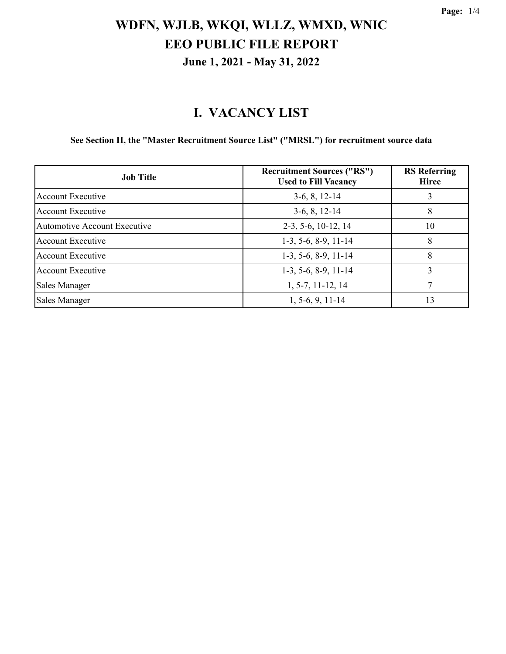#### **I. VACANCY LIST**

**See Section II, the "Master Recruitment Source List" ("MRSL") for recruitment source data**

| <b>Job Title</b>                    | <b>Recruitment Sources ("RS")</b><br><b>Used to Fill Vacancy</b> | <b>RS</b> Referring<br><b>Hiree</b> |
|-------------------------------------|------------------------------------------------------------------|-------------------------------------|
| <b>Account Executive</b>            | $3-6, 8, 12-14$                                                  | 3                                   |
| Account Executive                   | $3-6, 8, 12-14$                                                  | 8                                   |
| <b>Automotive Account Executive</b> | 2-3, 5-6, 10-12, 14                                              | 10                                  |
| Account Executive                   | $1-3, 5-6, 8-9, 11-14$                                           | 8                                   |
| Account Executive                   | $1-3, 5-6, 8-9, 11-14$                                           | 8                                   |
| Account Executive                   | $1-3, 5-6, 8-9, 11-14$                                           | 3                                   |
| Sales Manager                       | $1, 5-7, 11-12, 14$                                              | 7                                   |
| Sales Manager                       | $1, 5-6, 9, 11-14$                                               | 13                                  |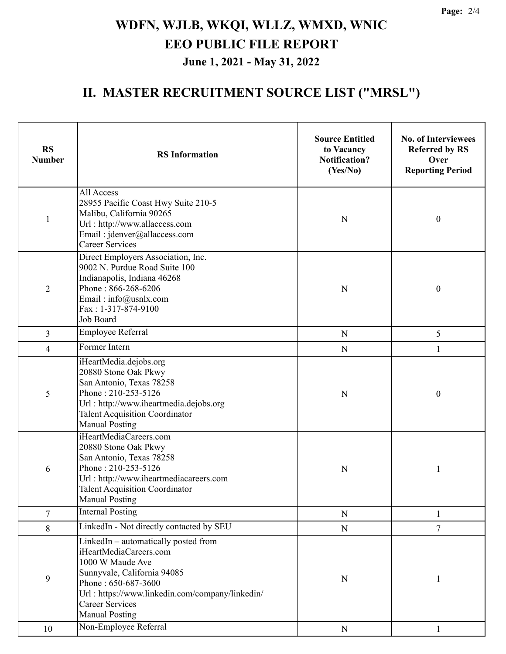### **II. MASTER RECRUITMENT SOURCE LIST ("MRSL")**

| <b>RS</b><br><b>Number</b> | <b>RS</b> Information                                                                                                                                                                                                                          | <b>Source Entitled</b><br>to Vacancy<br><b>Notification?</b><br>(Yes/No) | <b>No. of Interviewees</b><br><b>Referred by RS</b><br>Over<br><b>Reporting Period</b> |
|----------------------------|------------------------------------------------------------------------------------------------------------------------------------------------------------------------------------------------------------------------------------------------|--------------------------------------------------------------------------|----------------------------------------------------------------------------------------|
| $\mathbf{1}$               | All Access<br>28955 Pacific Coast Hwy Suite 210-5<br>Malibu, California 90265<br>Url: http://www.allaccess.com<br>Email: jdenver@allaccess.com<br><b>Career Services</b>                                                                       | N                                                                        | $\boldsymbol{0}$                                                                       |
| $\overline{2}$             | Direct Employers Association, Inc.<br>9002 N. Purdue Road Suite 100<br>Indianapolis, Indiana 46268<br>Phone: 866-268-6206<br>Email: info@usnlx.com<br>Fax: 1-317-874-9100<br>Job Board                                                         | $\mathbf N$                                                              | $\boldsymbol{0}$                                                                       |
| 3                          | Employee Referral                                                                                                                                                                                                                              | $\mathbf N$                                                              | 5                                                                                      |
| 4                          | Former Intern                                                                                                                                                                                                                                  | ${\bf N}$                                                                | 1                                                                                      |
| 5                          | iHeartMedia.dejobs.org<br>20880 Stone Oak Pkwy<br>San Antonio, Texas 78258<br>Phone: 210-253-5126<br>Url: http://www.iheartmedia.dejobs.org<br><b>Talent Acquisition Coordinator</b><br><b>Manual Posting</b>                                  | ${\bf N}$                                                                | $\boldsymbol{0}$                                                                       |
| 6                          | iHeartMediaCareers.com<br>20880 Stone Oak Pkwy<br>San Antonio, Texas 78258<br>Phone: 210-253-5126<br>Url: http://www.iheartmediacareers.com<br><b>Talent Acquisition Coordinator</b><br><b>Manual Posting</b>                                  | N                                                                        | 1                                                                                      |
| $\tau$                     | <b>Internal Posting</b>                                                                                                                                                                                                                        | ${\bf N}$                                                                | 1                                                                                      |
| 8                          | LinkedIn - Not directly contacted by SEU                                                                                                                                                                                                       | ${\bf N}$                                                                | $\overline{7}$                                                                         |
| 9                          | LinkedIn - automatically posted from<br>iHeartMediaCareers.com<br>1000 W Maude Ave<br>Sunnyvale, California 94085<br>Phone: 650-687-3600<br>Url: https://www.linkedin.com/company/linkedin/<br><b>Career Services</b><br><b>Manual Posting</b> | N                                                                        | <sup>1</sup>                                                                           |
| 10                         | Non-Employee Referral                                                                                                                                                                                                                          | ${\bf N}$                                                                | 1                                                                                      |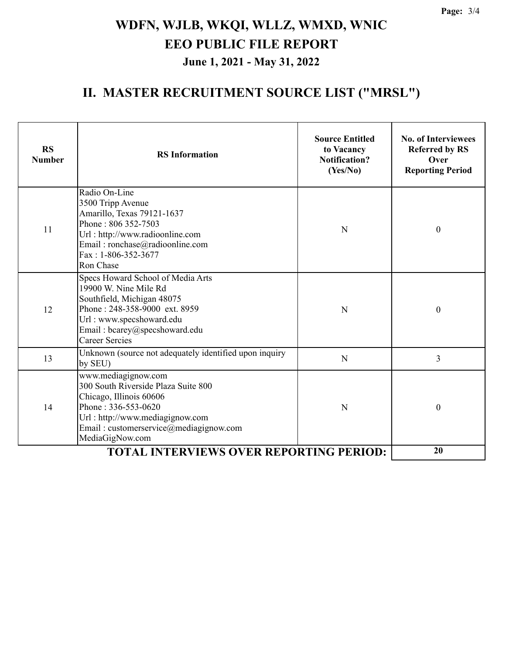### **II. MASTER RECRUITMENT SOURCE LIST ("MRSL")**

| <b>RS</b><br><b>Number</b> | <b>RS</b> Information                                                                                                                                                                                           | <b>Source Entitled</b><br>to Vacancy<br><b>Notification?</b><br>(Yes/No) | <b>No. of Interviewees</b><br><b>Referred by RS</b><br>Over<br><b>Reporting Period</b> |
|----------------------------|-----------------------------------------------------------------------------------------------------------------------------------------------------------------------------------------------------------------|--------------------------------------------------------------------------|----------------------------------------------------------------------------------------|
| 11                         | Radio On-Line<br>3500 Tripp Avenue<br>Amarillo, Texas 79121-1637<br>Phone: 806 352-7503<br>Url: http://www.radioonline.com<br>Email: ronchase@radioonline.com<br>Fax: 1-806-352-3677<br>Ron Chase               | N                                                                        | $\boldsymbol{0}$                                                                       |
| 12                         | Specs Howard School of Media Arts<br>19900 W. Nine Mile Rd<br>Southfield, Michigan 48075<br>Phone: 248-358-9000 ext. 8959<br>Url: www.specshoward.edu<br>Email: bcarey@specshoward.edu<br><b>Career Sercies</b> | N                                                                        | $\boldsymbol{0}$                                                                       |
| 13                         | Unknown (source not adequately identified upon inquiry<br>by SEU)                                                                                                                                               | N                                                                        | 3                                                                                      |
| 14                         | www.mediagignow.com<br>300 South Riverside Plaza Suite 800<br>Chicago, Illinois 60606<br>Phone: 336-553-0620<br>Url: http://www.mediagignow.com<br>Email: customerservice@mediagignow.com<br>MediaGigNow.com    | N                                                                        | $\boldsymbol{0}$                                                                       |
|                            | 20                                                                                                                                                                                                              |                                                                          |                                                                                        |